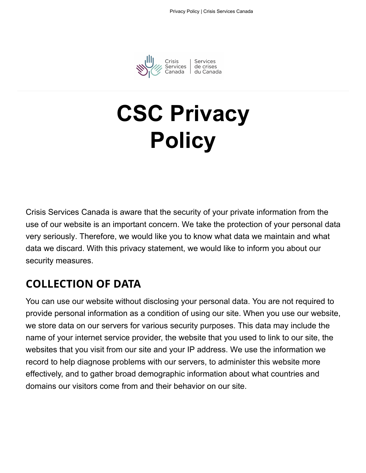

Crisis | Services<br>Services | de crises<br>Canada | du Canada

# **C[SC Priva](https://www.crisisservicescanada.ca/en/)cy Policy**

Crisis Services Canada is aware that the security of your private information from the use of our website is an important concern. We take the protection of your personal data very seriously. Therefore, we would like you to know what data we maintain and what data we discard. With this privacy statement, we would like to inform you about our security measures.

### **COLLECTION OF DATA**

You can use our website without disclosing your personal data. You are not required to provide personal information as a condition of using our site. When you use our website, we store data on our servers for various security purposes. This data may include the name of your internet service provider, the website that you used to link to our site, the websites that you visit from our site and your IP address. We use the information we record to help diagnose problems with our servers, to administer this website more effectively, and to gather broad demographic information about what countries and domains our visitors come from and their behavior on our site.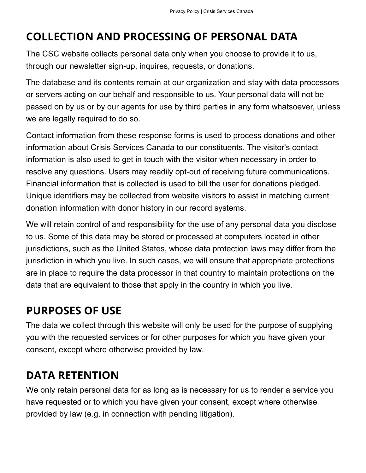### **COLLECTION AND PROCESSING OF PERSONAL DATA**

The CSC website collects personal data only when you choose to provide it to us, through our newsletter sign-up, inquires, requests, or donations.

The database and its contents remain at our organization and stay with data processors or servers acting on our behalf and responsible to us. Your personal data will not be passed on by us or by our agents for use by third parties in any form whatsoever, unless we are legally required to do so.

Contact information from these response forms is used to process donations and other information about Crisis Services Canada to our constituents. The visitor's contact information is also used to get in touch with the visitor when necessary in order to resolve any questions. Users may readily opt-out of receiving future communications. Financial information that is collected is used to bill the user for donations pledged. Unique identifiers may be collected from website visitors to assist in matching current donation information with donor history in our record systems.

We will retain control of and responsibility for the use of any personal data you disclose to us. Some of this data may be stored or processed at computers located in other jurisdictions, such as the United States, whose data protection laws may differ from the jurisdiction in which you live. In such cases, we will ensure that appropriate protections are in place to require the data processor in that country to maintain protections on the data that are equivalent to those that apply in the country in which you live.

#### **PURPOSES OF USE**

The data we collect through this website will only be used for the purpose of supplying you with the requested services or for other purposes for which you have given your consent, except where otherwise provided by law.

#### **DATA RETENTION**

We only retain personal data for as long as is necessary for us to render a service you have requested or to which you have given your consent, except where otherwise provided by law (e.g. in connection with pending litigation).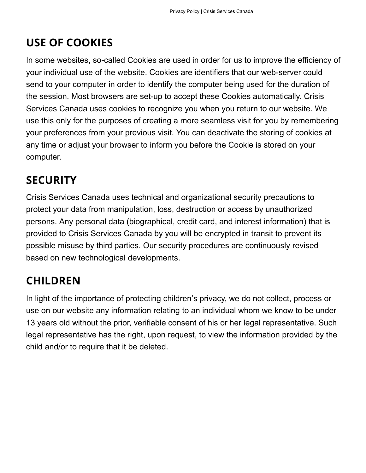# **USE OF COOKIES**

In some websites, so-called Cookies are used in order for us to improve the efficiency of your individual use of the website. Cookies are identifiers that our web-server could send to your computer in order to identify the computer being used for the duration of the session. Most browsers are set-up to accept these Cookies automatically. Crisis Services Canada uses cookies to recognize you when you return to our website. We use this only for the purposes of creating a more seamless visit for you by remembering your preferences from your previous visit. You can deactivate the storing of cookies at any time or adjust your browser to inform you before the Cookie is stored on your computer.

### **SECURITY**

Crisis Services Canada uses technical and organizational security precautions to protect your data from manipulation, loss, destruction or access by unauthorized persons. Any personal data (biographical, credit card, and interest information) that is provided to Crisis Services Canada by you will be encrypted in transit to prevent its possible misuse by third parties. Our security procedures are continuously revised based on new technological developments.

### **CHILDREN**

In light of the importance of protecting children's privacy, we do not collect, process or use on our website any information relating to an individual whom we know to be under 13 years old without the prior, verifiable consent of his or her legal representative. Such legal representative has the right, upon request, to view the information provided by the child and/or to require that it be deleted.